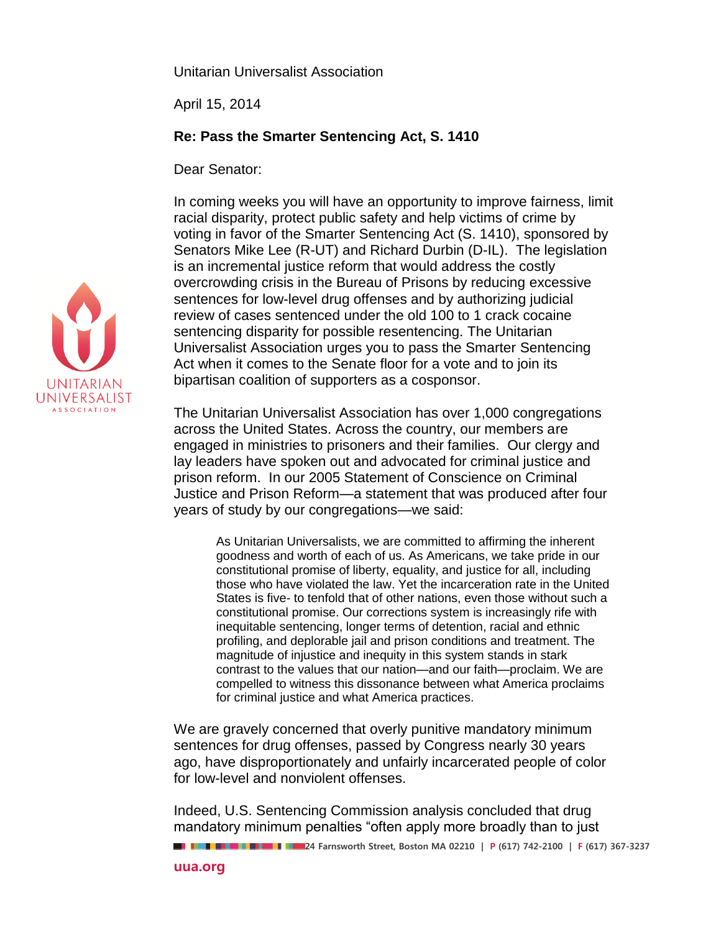Unitarian Universalist Association

April 15, 2014

## **Re: Pass the Smarter Sentencing Act, S. 1410**

Dear Senator:

In coming weeks you will have an opportunity to improve fairness, limit racial disparity, protect public safety and help victims of crime by voting in favor of the Smarter Sentencing Act (S. 1410), sponsored by Senators Mike Lee (R-UT) and Richard Durbin (D-IL). The legislation is an incremental justice reform that would address the costly overcrowding crisis in the Bureau of Prisons by reducing excessive sentences for low-level drug offenses and by authorizing judicial review of cases sentenced under the old 100 to 1 crack cocaine sentencing disparity for possible resentencing. The Unitarian Universalist Association urges you to pass the Smarter Sentencing Act when it comes to the Senate floor for a vote and to join its bipartisan coalition of supporters as a cosponsor.

The Unitarian Universalist Association has over 1,000 congregations across the United States. Across the country, our members are engaged in ministries to prisoners and their families. Our clergy and lay leaders have spoken out and advocated for criminal justice and prison reform. In our 2005 Statement of Conscience on Criminal Justice and Prison Reform—a statement that was produced after four years of study by our congregations—we said:

As Unitarian Universalists, we are committed to affirming the inherent goodness and worth of each of us. As Americans, we take pride in our constitutional promise of liberty, equality, and justice for all, including those who have violated the law. Yet the incarceration rate in the United States is five- to tenfold that of other nations, even those without such a constitutional promise. Our corrections system is increasingly rife with inequitable sentencing, longer terms of detention, racial and ethnic profiling, and deplorable jail and prison conditions and treatment. The magnitude of injustice and inequity in this system stands in stark contrast to the values that our nation—and our faith—proclaim. We are compelled to witness this dissonance between what America proclaims for criminal justice and what America practices.

We are gravely concerned that overly punitive mandatory minimum sentences for drug offenses, passed by Congress nearly 30 years ago, have disproportionately and unfairly incarcerated people of color for low-level and nonviolent offenses.

Indeed, U.S. Sentencing Commission analysis concluded that drug mandatory minimum penalties "often apply more broadly than to just